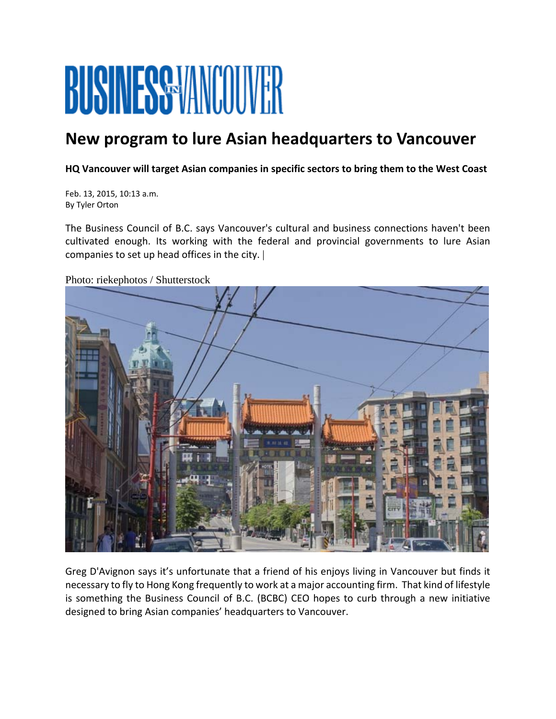## BUSINESS MMCOUVER

## **New program to lure Asian headquarters to Vancouver**

**HQ Vancouver will target Asian companies in specific sectors to bring them to the West Coast**

Feb. 13, 2015, 10:13 a.m. By Tyler Orton

The Business Council of B.C. says Vancouver's cultural and business connections haven't been cultivated enough. Its working with the federal and provincial governments to lure Asian companies to set up head offices in the city. |

Photo: riekephotos / Shutterstock



Greg D'Avignon says it's unfortunate that a friend of his enjoys living in Vancouver but finds it necessary to fly to Hong Kong frequently to work at a major accounting firm. That kind of lifestyle is something the Business Council of B.C. (BCBC) CEO hopes to curb through a new initiative designed to bring Asian companies' headquarters to Vancouver.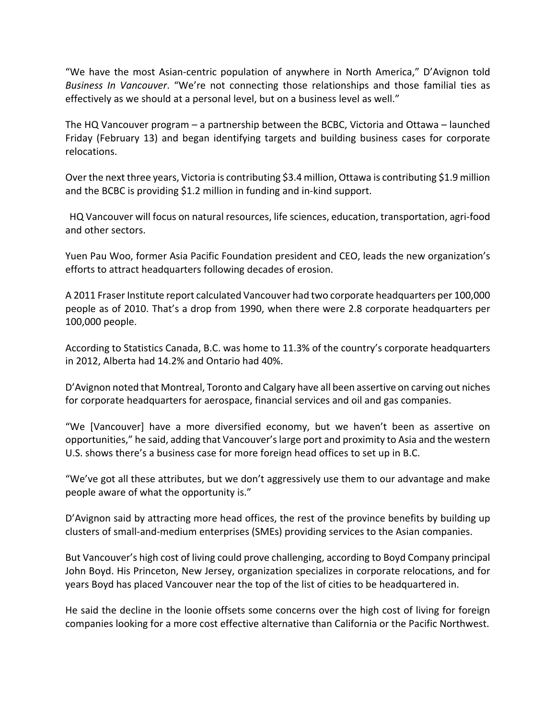"We have the most Asian‐centric population of anywhere in North America," D'Avignon told *Business In Vancouver*. "We're not connecting those relationships and those familial ties as effectively as we should at a personal level, but on a business level as well."

The HQ Vancouver program – a partnership between the BCBC, Victoria and Ottawa – launched Friday (February 13) and began identifying targets and building business cases for corporate relocations.

Over the next three years, Victoria is contributing \$3.4 million, Ottawa is contributing \$1.9 million and the BCBC is providing \$1.2 million in funding and in‐kind support.

 HQ Vancouver will focus on natural resources, life sciences, education, transportation, agri‐food and other sectors.

Yuen Pau Woo, former Asia Pacific Foundation president and CEO, leads the new organization's efforts to attract headquarters following decades of erosion.

A 2011 Fraser Institute report calculated Vancouver had two corporate headquarters per 100,000 people as of 2010. That's a drop from 1990, when there were 2.8 corporate headquarters per 100,000 people.

According to Statistics Canada, B.C. was home to 11.3% of the country's corporate headquarters in 2012, Alberta had 14.2% and Ontario had 40%.

D'Avignon noted that Montreal, Toronto and Calgary have all been assertive on carving out niches for corporate headquarters for aerospace, financial services and oil and gas companies.

"We [Vancouver] have a more diversified economy, but we haven't been as assertive on opportunities," he said, adding that Vancouver'slarge port and proximity to Asia and the western U.S. shows there's a business case for more foreign head offices to set up in B.C.

"We've got all these attributes, but we don't aggressively use them to our advantage and make people aware of what the opportunity is."

D'Avignon said by attracting more head offices, the rest of the province benefits by building up clusters of small‐and‐medium enterprises (SMEs) providing services to the Asian companies.

But Vancouver's high cost of living could prove challenging, according to Boyd Company principal John Boyd. His Princeton, New Jersey, organization specializes in corporate relocations, and for years Boyd has placed Vancouver near the top of the list of cities to be headquartered in.

He said the decline in the loonie offsets some concerns over the high cost of living for foreign companies looking for a more cost effective alternative than California or the Pacific Northwest.